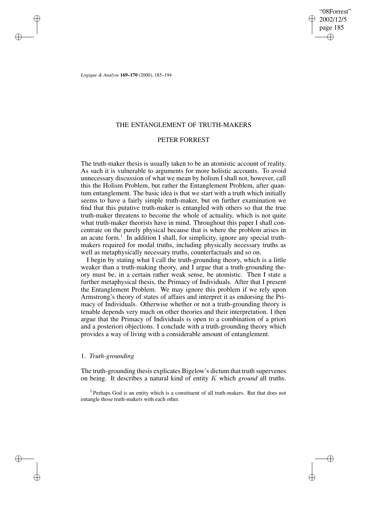"08Forrest" 2002/12/5 page 185 ✐ ✐

✐

✐

*Logique & Analyse* **169–170** (2000), 185–194

✐

✐

✐

✐

## THE ENTANGLEMENT OF TRUTH-MAKERS

## PETER FORREST

The truth-maker thesis is usually taken to be an atomistic account of reality. As such it is vulnerable to arguments for more holistic accounts. To avoid unnecessary discussion of what we mean by holism I shall not, however, call this the Holism Problem, but rather the Entanglement Problem, after quantum entanglement. The basic idea is that we start with a truth which initially seems to have a fairly simple truth-maker, but on further examination we find that this putative truth-maker is entangled with others so that the true truth-maker threatens to become the whole of actuality, which is not quite what truth-maker theorists have in mind. Throughout this paper I shall concentrate on the purely physical because that is where the problem arises in an acute form.<sup>1</sup> In addition I shall, for simplicity, ignore any special truthmakers required for modal truths, including physically necessary truths as well as metaphysically necessary truths, counterfactuals and so on.

I begin by stating what I call the truth-grounding theory, which is a little weaker than a truth-making theory, and I argue that a truth-grounding theory must be, in a certain rather weak sense, be atomistic. Then I state a further metaphysical thesis, the Primacy of Individuals. After that I present the Entanglement Problem. We may ignore this problem if we rely upon Armstrong's theory of states of affairs and interpret it as endorsing the Primacy of Individuals. Otherwise whether or not a truth-grounding theory is tenable depends very much on other theories and their interpretation. I then argue that the Primacy of Individuals is open to a combination of a priori and a posteriori objections. I conclude with a truth-grounding theory which provides a way of living with a considerable amount of entanglement.

### 1. *Truth-grounding*

The truth-grounding thesis explicates Bigelow's dictum that truth supervenes on being. It describes a natural kind of entity K which *ground* all truths.

<sup>&</sup>lt;sup>1</sup> Perhaps God is an entity which is a constituent of all truth-makers. But that does not entangle those truth-makers with each other.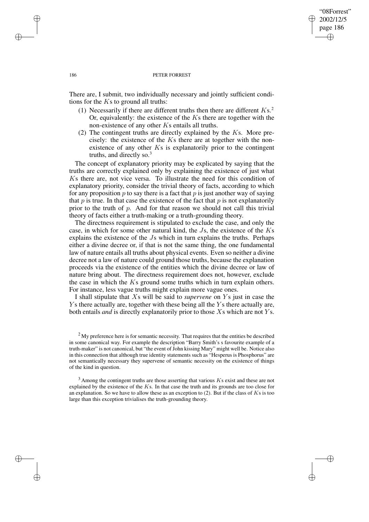## "08Forrest" 2002/12/5 page 186 ✐ ✐

✐

✐

#### 186 PETER FORREST

There are, I submit, two individually necessary and jointly sufficient conditions for the  $Ks$  to ground all truths:

- (1) Necessarily if there are different truths then there are different  $Ks<sup>2</sup>$ . Or, equivalently: the existence of the  $Ks$  there are together with the non-existence of any other Ks entails all truths.
- (2) The contingent truths are directly explained by the  $Ks$ . More precisely: the existence of the  $Ks$  there are at together with the nonexistence of any other  $Ks$  is explanatorily prior to the contingent truths, and directly so. $3$

The concept of explanatory priority may be explicated by saying that the truths are correctly explained only by explaining the existence of just what Ks there are, not vice versa. To illustrate the need for this condition of explanatory priority, consider the trivial theory of facts, according to which for any proposition p to say there is a fact that p is just another way of saying that  $p$  is true. In that case the existence of the fact that  $p$  is not explanatorily prior to the truth of p. And for that reason we should not call this trivial theory of facts either a truth-making or a truth-grounding theory.

The directness requirement is stipulated to exclude the case, and only the case, in which for some other natural kind, the Js, the existence of the Ks explains the existence of the Js which in turn explains the truths. Perhaps either a divine decree or, if that is not the same thing, the one fundamental law of nature entails all truths about physical events. Even so neither a divine decree not a law of nature could ground those truths, because the explanation proceeds via the existence of the entities which the divine decree or law of nature bring about. The directness requirement does not, however, exclude the case in which the  $Ks$  ground some truths which in turn explain others. For instance, less vague truths might explain more vague ones.

I shall stipulate that Xs will be said to *supervene* on Y s just in case the  $Y_s$  there actually are, together with these being all the  $Y_s$  there actually are, both entails *and* is directly explanatorily prior to those Xs which are not Ys.

 $3$  Among the contingent truths are those asserting that various  $Ks$  exist and these are not explained by the existence of the  $Ks$ . In that case the truth and its grounds are too close for an explanation. So we have to allow these as an exception to  $(2)$ . But if the class of Ks is too large than this exception trivialises the truth-grounding theory.

✐

✐

✐

<sup>&</sup>lt;sup>2</sup>My preference here is for semantic necessity. That requires that the entities be described in some canonical way. For example the description "Barry Smith's s favourite example of a truth-maker" is not canonical, but "the event of John kissing Mary" might well be. Notice also in this connection that although true identity statements such as "Hesperus is Phosphorus" are not semantically necessary they supervene of semantic necessity on the existence of things of the kind in question.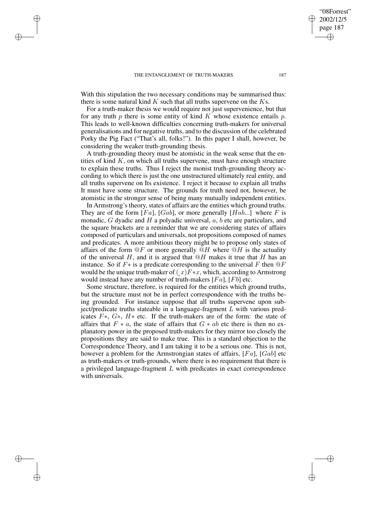✐

✐

✐

✐

With this stipulation the two necessary conditions may be summarised thus: there is some natural kind  $K$  such that all truths supervene on the  $Ks$ .

For a truth-maker thesis we would require not just supervenience, but that for any truth p there is some entity of kind K whose existence entails p. This leads to well-known difficulties concerning truth-makers for universal generalisations and for negative truths, and to the discussion of the celebrated Porky the Pig Fact ("That's all, folks!"). In this paper I shall, however, be considering the weaker truth-grounding thesis.

A truth-grounding theory must be atomistic in the weak sense that the entities of kind  $K$ , on which all truths supervene, must have enough structure to explain these truths. Thus I reject the monist truth-grounding theory according to which there is just the one unstructured ultimately real entity, and all truths supervene on Its existence. I reject it because to explain all truths It must have some structure. The grounds for truth need not, however, be atomistic in the stronger sense of being many mutually independent entities.

In Armstrong's theory, states of affairs are the entities which ground truths. They are of the form  $[Fa]$ ,  $[Gab]$ , or more generally  $[Hab...]$  where F is monadic,  $G$  dyadic and  $H$  a polyadic universal,  $a$ ,  $b$  etc are particulars, and the square brackets are a reminder that we are considering states of affairs composed of particulars and universals, not propositions composed of names and predicates. A more ambitious theory might be to propose only states of affairs of the form  $@F$  or more generally  $@H$  where  $@H$  is the actuality of the universal H, and it is argued that  $\mathcal{Q}H$  makes it true that H has an instance. So if  $F*$  is a predicate corresponding to the universal F then  $@F$ would be the unique truth-maker of  $(x)F*x$ , which, according to Armstrong would instead have any number of truth-makers  $[Fa]$ ,  $[Fb]$  etc.

Some structure, therefore, is required for the entities which ground truths, but the structure must not be in perfect correspondence with the truths being grounded. For instance suppose that all truths supervene upon subject/predicate truths stateable in a language-fragment  $L$  with various predicates F∗, G∗, H∗ etc. If the truth-makers are of the form: the state of affairs that  $F * a$ , the state of affairs that  $G * ab$  etc there is then no explanatory power in the proposed truth-makers for they mirror too closely the propositions they are said to make true. This is a standard objection to the Correspondence Theory, and I am taking it to be a serious one. This is not, however a problem for the Armstrongian states of affairs, [Fa], [Gab] etc as truth-makers or truth-grounds, where there is no requirement that there is a privileged language-fragment  $L$  with predicates in exact correspondence with universals.

"08Forrest" 2002/12/5 page 187

✐

✐

✐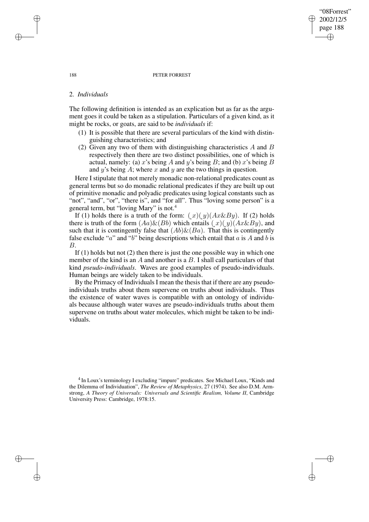#### 188 PETER FORREST

"08Forrest" 2002/12/5 page 188

✐

✐

✐

✐

## 2. *Individuals*

The following definition is intended as an explication but as far as the argument goes it could be taken as a stipulation. Particulars of a given kind, as it might be rocks, or goats, are said to be *individuals* if:

- (1) It is possible that there are several particulars of the kind with distinguishing characteristics; and
- (2) Given any two of them with distinguishing characteristics  $\vec{A}$  and  $\vec{B}$ respectively then there are two distinct possibilities, one of which is actual, namely: (a) x's being A and y's being B; and (b) x's being B and y's being  $A$ ; where x and y are the two things in question.

Here I stipulate that not merely monadic non-relational predicates count as general terms but so do monadic relational predicates if they are built up out of primitive monadic and polyadic predicates using logical constants such as "not", "and", "or", "there is", and "for all". Thus "loving some person" is a general term, but "loving Mary" is not.<sup>4</sup>

If (1) holds there is a truth of the form:  $(x)(y)(Ax\&By)$ . If (2) holds there is truth of the form  $(Aa) \& (Bb)$  which entails  $(x)(y)(Ax \& By)$ , and such that it is contingently false that  $(Ab) \& (Ba)$ . That this is contingently false exclude "a" and "b" being descriptions which entail that  $a$  is  $A$  and  $b$  is B.

If (1) holds but not (2) then there is just the one possible way in which one member of the kind is an  $A$  and another is a  $B$ . I shall call particulars of that kind *pseudo-individuals*. Waves are good examples of pseudo-individuals. Human beings are widely taken to be individuals.

By the Primacy of Individuals I mean the thesis that if there are any pseudoindividuals truths about them supervene on truths about individuals. Thus the existence of water waves is compatible with an ontology of individuals because although water waves are pseudo-individuals truths about them supervene on truths about water molecules, which might be taken to be individuals.

<sup>4</sup> In Loux's terminology I excluding "impure" predicates. See Michael Loux, "Kinds and the Dilemma of Individuation", *The Review of Metaphysics*, 27 (1974). See also D.M. Armstrong, *A Theory of Universals: Universals and Scientific Realism, Volume II*, Cambridge University Press: Cambridge, 1978:15.

✐

✐

✐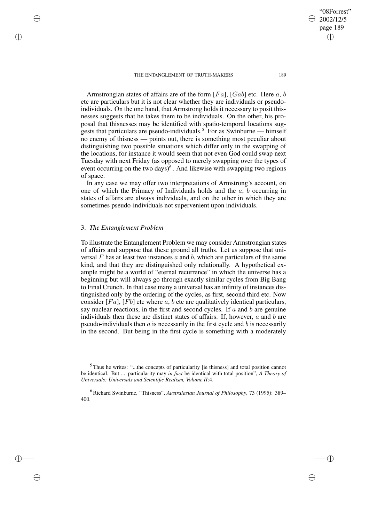page 189 ✐

✐

"08Forrest" 2002/12/5

✐

✐

Armstrongian states of affairs are of the form  $[Fa]$ ,  $[Gab]$  etc. Here a, b etc are particulars but it is not clear whether they are individuals or pseudoindividuals. On the one hand, that Armstrong holds it necessary to posit thisnesses suggests that he takes them to be individuals. On the other, his proposal that thisnesses may be identified with spatio-temporal locations suggests that particulars are pseudo-individuals.<sup>5</sup> For as Swinburne — himself no enemy of thisness — points out, there is something most peculiar about distinguishing two possible situations which differ only in the swapping of the locations, for instance it would seem that not even God could swap next Tuesday with next Friday (as opposed to merely swapping over the types of event occurring on the two days)<sup>6</sup>. And likewise with swapping two regions of space.

In any case we may offer two interpretations of Armstrong's account, on one of which the Primacy of Individuals holds and the  $a, b$  occurring in states of affairs are always individuals, and on the other in which they are sometimes pseudo-individuals not supervenient upon individuals.

## 3. *The Entanglement Problem*

✐

✐

✐

✐

To illustrate the Entanglement Problem we may consider Armstrongian states of affairs and suppose that these ground all truths. Let us suppose that universal  $F$  has at least two instances  $a$  and  $b$ , which are particulars of the same kind, and that they are distinguished only relationally. A hypothetical example might be a world of "eternal recurrence" in which the universe has a beginning but will always go through exactly similar cycles from Big Bang to Final Crunch. In that case many a universal has an infinity of instances distinguished only by the ordering of the cycles, as first, second third etc. Now consider  $[Fa]$ ,  $[Fb]$  etc where a, b etc are qualitatively identical particulars, say nuclear reactions, in the first and second cycles. If  $a$  and  $b$  are genuine individuals then these are distinct states of affairs. If, however,  $a$  and  $b$  are pseudo-individuals then  $\alpha$  is necessarily in the first cycle and  $\delta$  is necessarily in the second. But being in the first cycle is something with a moderately

 $5$  Thus he writes: "...the concepts of particularity [ie thisness] and total position cannot be identical. But ... particularity may *in fact* be identical with total position", *A Theory of Universals: Universals and Scientific Realism, Volume II*:4.

<sup>6</sup> Richard Swinburne, "Thisness", *Australasian Journal of Philosophy*, 73 (1995): 389– 400.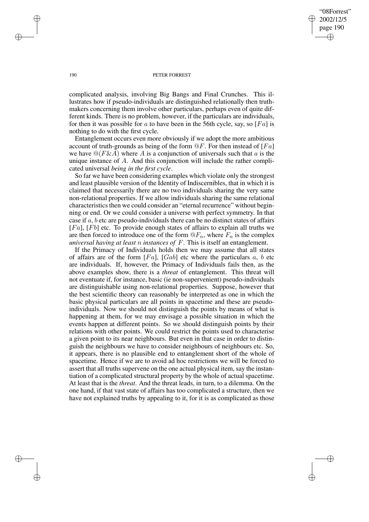"08Forrest" 2002/12/5 page 190 ✐ ✐

✐

✐

#### 190 PETER FORREST

complicated analysis, involving Big Bangs and Final Crunches. This illustrates how if pseudo-individuals are distinguished relationally then truthmakers concerning them involve other particulars, perhaps even of quite different kinds. There is no problem, however, if the particulars are individuals, for then it was possible for a to have been in the 56th cycle, say, so [Fa] is nothing to do with the first cycle.

Entanglement occurs even more obviously if we adopt the more ambitious account of truth-grounds as being of the form  $\mathcal{Q}F$ . For then instead of [Fa] we have  $\mathcal{Q}(F\&\mathcal{A})$  where  $\mathcal{A}$  is a conjunction of universals such that  $a$  is the unique instance of A. And this conjunction will include the rather complicated universal *being in the first cycle*.

So far we have been considering examples which violate only the strongest and least plausible version of the Identity of Indiscernibles, that in which it is claimed that necessarily there are no two individuals sharing the very same non-relational properties. If we allow individuals sharing the same relational characteristics then we could consider an "eternal recurrence" without beginning or end. Or we could consider a universe with perfect symmetry. In that case if  $a$ ,  $b$  etc are pseudo-individuals there can be no distinct states of affairs  $[Fa]$ ,  $[Fb]$  etc. To provide enough states of affairs to explain all truths we are then forced to introduce one of the form  $\mathbb{Q}F_n$ , where  $F_n$  is the complex *universal having at least* n *instances of* F. This is itself an entanglement.

If the Primacy of Individuals holds then we may assume that all states of affairs are of the form  $[Fa]$ ,  $[Gab]$  etc where the particulars a, b etc are individuals. If, however, the Primacy of Individuals fails then, as the above examples show, there is a *threat* of entanglement. This threat will not eventuate if, for instance, basic (ie non-supervenient) pseudo-individuals are distinguishable using non-relational properties. Suppose, however that the best scientific theory can reasonably be interpreted as one in which the basic physical particulars are all points in spacetime and these are pseudoindividuals. Now we should not distinguish the points by means of what is happening at them, for we may envisage a possible situation in which the events happen at different points. So we should distinguish points by their relations with other points. We could restrict the points used to characterise a given point to its near neighbours. But even in that case in order to distinguish the neighbours we have to consider neighbours of neighbours etc. So, it appears, there is no plausible end to entanglement short of the whole of spacetime. Hence if we are to avoid ad hoc restrictions we will be forced to assert that all truths supervene on the one actual physical item, say the instantiation of a complicated structural property by the whole of actual spacetime. At least that is the *threat*. And the threat leads, in turn, to a dilemma. On the one hand, if that vast state of affairs has too complicated a structure, then we have not explained truths by appealing to it, for it is as complicated as those

✐

✐

✐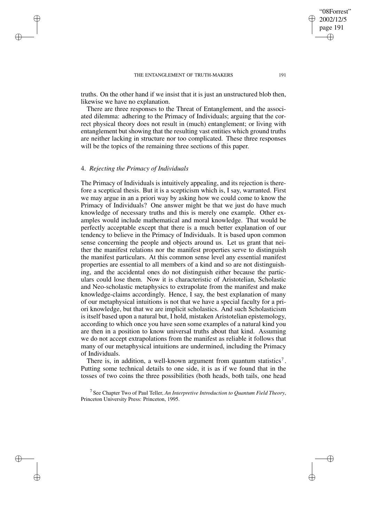truths. On the other hand if we insist that it is just an unstructured blob then, likewise we have no explanation.

There are three responses to the Threat of Entanglement, and the associated dilemma: adhering to the Primacy of Individuals; arguing that the correct physical theory does not result in (much) entanglement; or living with entanglement but showing that the resulting vast entities which ground truths are neither lacking in structure nor too complicated. These three responses will be the topics of the remaining three sections of this paper.

## 4. *Rejecting the Primacy of Individuals*

✐

✐

✐

✐

The Primacy of Individuals is intuitively appealing, and its rejection is therefore a sceptical thesis. But it is a scepticism which is, I say, warranted. First we may argue in an a priori way by asking how we could come to know the Primacy of Individuals? One answer might be that we just do have much knowledge of necessary truths and this is merely one example. Other examples would include mathematical and moral knowledge. That would be perfectly acceptable except that there is a much better explanation of our tendency to believe in the Primacy of Individuals. It is based upon common sense concerning the people and objects around us. Let us grant that neither the manifest relations nor the manifest properties serve to distinguish the manifest particulars. At this common sense level any essential manifest properties are essential to all members of a kind and so are not distinguishing, and the accidental ones do not distinguish either because the particulars could lose them. Now it is characteristic of Aristotelian, Scholastic and Neo-scholastic metaphysics to extrapolate from the manifest and make knowledge-claims accordingly. Hence, I say, the best explanation of many of our metaphysical intuitions is not that we have a special faculty for a priori knowledge, but that we are implicit scholastics. And such Scholasticism is itself based upon a natural but, I hold, mistaken Aristotelian epistemology, according to which once you have seen some examples of a natural kind you are then in a position to know universal truths about that kind. Assuming we do not accept extrapolations from the manifest as reliable it follows that many of our metaphysical intuitions are undermined, including the Primacy of Individuals.

There is, in addition, a well-known argument from quantum statistics<sup>7</sup>. Putting some technical details to one side, it is as if we found that in the tosses of two coins the three possibilities (both heads, both tails, one head

7 See Chapter Two of Paul Teller, *An Interpretive Introduction to Quantum Field Theory*, Princeton University Press: Princeton, 1995.

"08Forrest" 2002/12/5 page 191

✐

✐

✐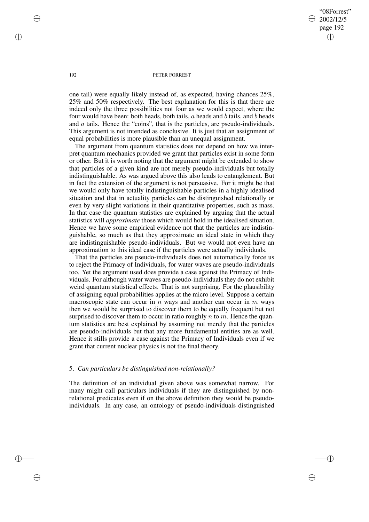"08Forrest" 2002/12/5 page 192 ✐ ✐

✐

✐

#### 192 PETER FORREST

one tail) were equally likely instead of, as expected, having chances 25%, 25% and 50% respectively. The best explanation for this is that there are indeed only the three possibilities not four as we would expect, where the four would have been: both heads, both tails, a heads and b tails, and b heads and a tails. Hence the "coins", that is the particles, are pseudo-individuals. This argument is not intended as conclusive. It is just that an assignment of equal probabilities is more plausible than an unequal assignment.

The argument from quantum statistics does not depend on how we interpret quantum mechanics provided we grant that particles exist in some form or other. But it is worth noting that the argument might be extended to show that particles of a given kind are not merely pseudo-individuals but totally indistinguishable. As was argued above this also leads to entanglement. But in fact the extension of the argument is not persuasive. For it might be that we would only have totally indistinguishable particles in a highly idealised situation and that in actuality particles can be distinguished relationally or even by very slight variations in their quantitative properties, such as mass. In that case the quantum statistics are explained by arguing that the actual statistics will *approximate* those which would hold in the idealised situation. Hence we have some empirical evidence not that the particles are indistinguishable, so much as that they approximate an ideal state in which they are indistinguishable pseudo-individuals. But we would not even have an approximation to this ideal case if the particles were actually individuals.

That the particles are pseudo-individuals does not automatically force us to reject the Primacy of Individuals, for water waves are pseudo-individuals too. Yet the argument used does provide a case against the Primacy of Individuals. For although water waves are pseudo-individuals they do not exhibit weird quantum statistical effects. That is not surprising. For the plausibility of assigning equal probabilities applies at the micro level. Suppose a certain macroscopic state can occur in n ways and another can occur in  $m$  ways then we would be surprised to discover them to be equally frequent but not surprised to discover them to occur in ratio roughly  $n$  to  $m$ . Hence the quantum statistics are best explained by assuming not merely that the particles are pseudo-individuals but that any more fundamental entities are as well. Hence it stills provide a case against the Primacy of Individuals even if we grant that current nuclear physics is not the final theory.

### 5. *Can particulars be distinguished non-relationally?*

The definition of an individual given above was somewhat narrow. For many might call particulars individuals if they are distinguished by nonrelational predicates even if on the above definition they would be pseudoindividuals. In any case, an ontology of pseudo-individuals distinguished

✐

✐

✐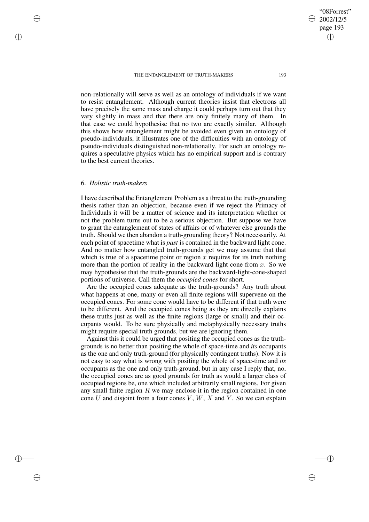non-relationally will serve as well as an ontology of individuals if we want to resist entanglement. Although current theories insist that electrons all have precisely the same mass and charge it could perhaps turn out that they vary slightly in mass and that there are only finitely many of them. In that case we could hypothesise that no two are exactly similar. Although this shows how entanglement might be avoided even given an ontology of pseudo-individuals, it illustrates one of the difficulties with an ontology of pseudo-individuals distinguished non-relationally. For such an ontology requires a speculative physics which has no empirical support and is contrary to the best current theories.

# 6. *Holistic truth-makers*

✐

✐

✐

✐

I have described the Entanglement Problem as a threat to the truth-grounding thesis rather than an objection, because even if we reject the Primacy of Individuals it will be a matter of science and its interpretation whether or not the problem turns out to be a serious objection. But suppose we have to grant the entanglement of states of affairs or of whatever else grounds the truth. Should we then abandon a truth-grounding theory? Not necessarily. At each point of spacetime what is *past* is contained in the backward light cone. And no matter how entangled truth-grounds get we may assume that that which is true of a spacetime point or region x requires for its truth nothing more than the portion of reality in the backward light cone from  $x$ . So we may hypothesise that the truth-grounds are the backward-light-cone-shaped portions of universe. Call them the *occupied cones* for short.

Are the occupied cones adequate as the truth-grounds? Any truth about what happens at one, many or even all finite regions will supervene on the occupied cones. For some cone would have to be different if that truth were to be different. And the occupied cones being as they are directly explains these truths just as well as the finite regions (large or small) and their occupants would. To be sure physically and metaphysically necessary truths might require special truth grounds, but we are ignoring them.

Against this it could be urged that positing the occupied cones as the truthgrounds is no better than positing the whole of space-time and *its* occupants as the one and only truth-ground (for physically contingent truths). Now it is not easy to say what is wrong with positing the whole of space-time and *its* occupants as the one and only truth-ground, but in any case I reply that, no, the occupied cones are as good grounds for truth as would a larger class of occupied regions be, one which included arbitrarily small regions. For given any small finite region  $R$  we may enclose it in the region contained in one cone U and disjoint from a four cones  $V, W, X$  and Y. So we can explain

"08Forrest" 2002/12/5 page 193

✐

✐

✐